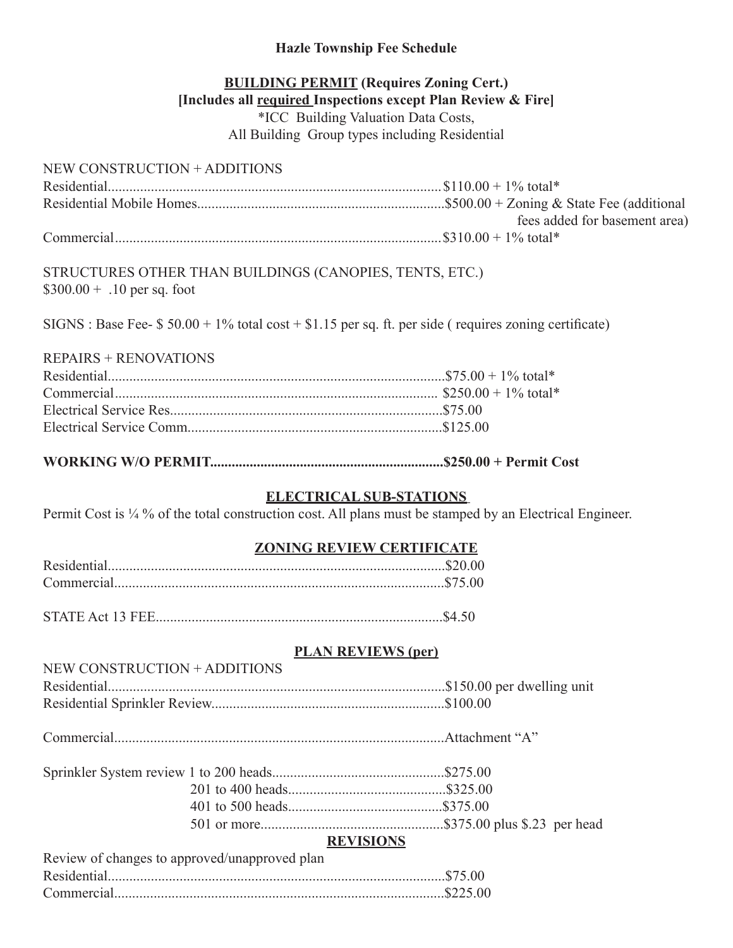## **Hazle Township Fee Schedule**

# **BUILDING PERMIT (Requires Zoning Cert.) [Includes all required Inspections except Plan Review & Fire]** \*ICC Building Valuation Data Costs, All Building Group types including Residential

# NEW CONSTRUCTION + ADDITIONS

| fees added for basement area) |
|-------------------------------|
|                               |

STRUCTURES OTHER THAN BUILDINGS (CANOPIES, TENTS, ETC.)  $$300.00 + .10$  per sq. foot

 $SIGNS: Base Free- $ 50.00 + 1\%$  total cost + \$1.15 per sq. ft. per side ( requires zoning certificate)

## REPAIRS + RENOVATIONS

**WORKING W/O PERMIT.................................................................\$250.00 + Permit Cost**

## **ELECTRICAL SUB-STATIONS**

Permit Cost is  $\frac{1}{4}$ % of the total construction cost. All plans must be stamped by an Electrical Engineer.

## **ZONING REVIEW CERTIFICATE**

STATE Act 13 FEE................................................................................\$4.50

## **PLAN REVIEWS (per)**

| NEW CONSTRUCTION + ADDITIONS                  |                  |
|-----------------------------------------------|------------------|
|                                               |                  |
|                                               |                  |
|                                               |                  |
|                                               |                  |
|                                               |                  |
|                                               |                  |
|                                               |                  |
|                                               | <b>REVISIONS</b> |
| Review of changes to approved/unapproved plan |                  |
|                                               |                  |
|                                               | \$225.00         |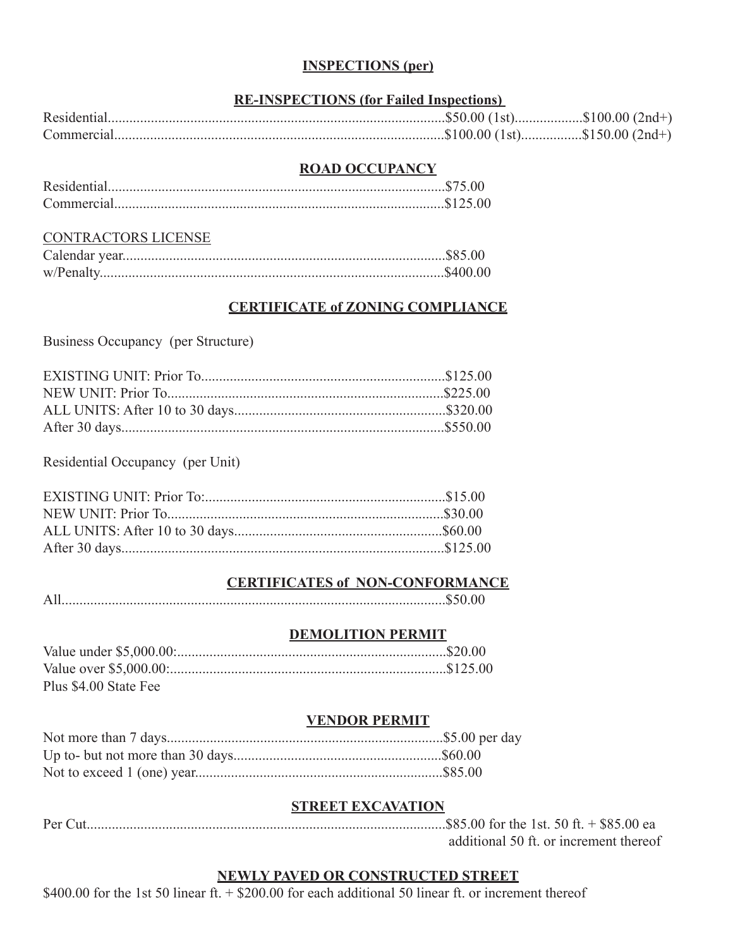## **INSPECTIONS (per)**

# **RE-INSPECTIONS (for Failed Inspections)**

| Residential |  |
|-------------|--|
| Commercial  |  |

#### **ROAD OCCUPANCY**

#### CONTRACTORS LICENSE

## **CERTIFICATE of ZONING COMPLIANCE**

Business Occupancy (per Structure)

Residential Occupancy (per Unit)

#### **CERTIFICATES of NON-CONFORMANCE**

|--|--|

### **DEMOLITION PERMIT**

| Plus \$4.00 State Fee |  |
|-----------------------|--|

#### **VENDOR PERMIT**

#### **STREET EXCAVATION**

| additional 50 ft. or increment thereof |
|----------------------------------------|

## **NEWLY PAVED OR CONSTRUCTED STREET**

\$400.00 for the 1st 50 linear ft. + \$200.00 for each additional 50 linear ft. or increment thereof